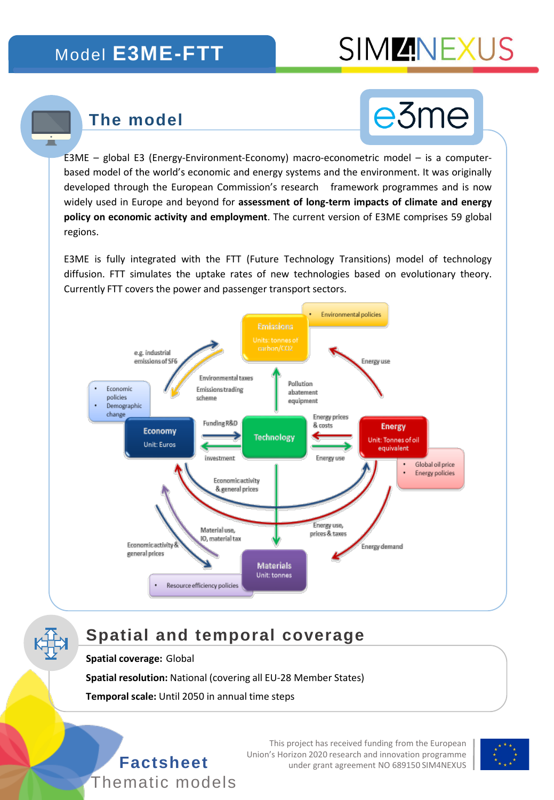## Model **E3ME-FTT**

## **SIMMINEXU**

## **The model**

П



E3ME – global E3 (Energy-Environment-Economy) macro-econometric model – is a computerbased model of the world's economic and energy systems and the environment. It was originally developed through the European Commission's research framework programmes and is now widely used in Europe and beyond for **assessment of long-term impacts of climate and energy policy on economic activity and employment**. The current version of E3ME comprises 59 global regions.

E3ME is fully integrated with the FTT (Future Technology Transitions) model of technology diffusion. FTT simulates the uptake rates of new technologies based on evolutionary theory. Currently FTT covers the power and passenger transport sectors.



## **Spatial and temporal coverage**

#### **Spatial coverage:** Global

**Spatial resolution:** National (covering all EU-28 Member States)

**Temporal scale:** Until 2050 in annual time steps



This project has received funding from the European Union's Horizon 2020 research and innovation programme **Factsheet** under grant agreement NO 689150 SIM4NEXUS